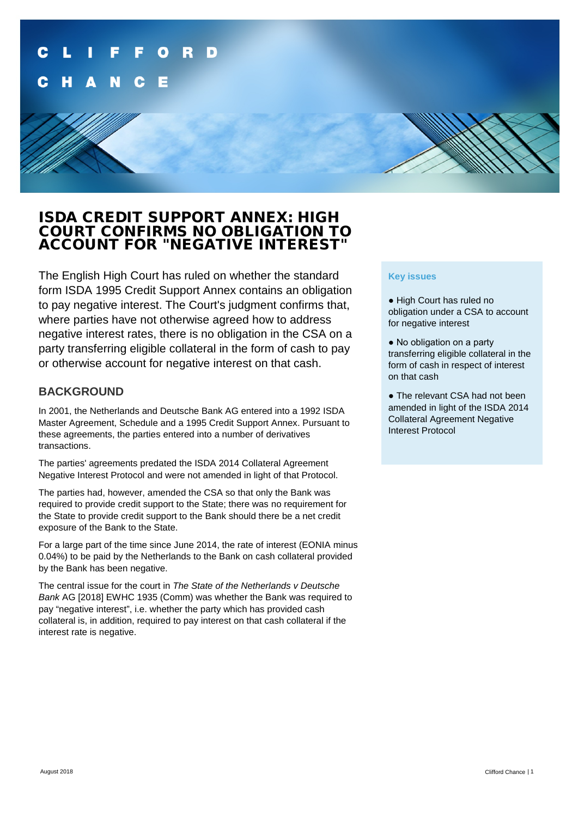## ISDA CREDIT SUPPORT ANNEX: HIGH COURT CONFIRMS NO OBLIGATION TO ACCOUNT FOR "NEGATIVE INTEREST"

The English High Court has ruled on whether the standard form ISDA 1995 Credit Support Annex contains an obligation to pay negative interest. The Court's judgment confirms that, where parties have not otherwise agreed how to address negative interest rates, there is no obligation in the CSA on a party transferring eligible collateral in the form of cash to pay or otherwise account for negative interest on that cash.

#### **BACKGROUND**

In 2001, the Netherlands and Deutsche Bank AG entered into a 1992 ISDA Master Agreement, Schedule and a 1995 Credit Support Annex. Pursuant to these agreements, the parties entered into a number of derivatives transactions.

The parties' agreements predated the ISDA 2014 Collateral Agreement Negative Interest Protocol and were not amended in light of that Protocol.

The parties had, however, amended the CSA so that only the Bank was required to provide credit support to the State; there was no requirement for the State to provide credit support to the Bank should there be a net credit exposure of the Bank to the State.

For a large part of the time since June 2014, the rate of interest (EONIA minus 0.04%) to be paid by the Netherlands to the Bank on cash collateral provided by the Bank has been negative.

The central issue for the court in *The State of the Netherlands v Deutsche Bank* AG [2018] EWHC 1935 (Comm) was whether the Bank was required to pay "negative interest", i.e. whether the party which has provided cash collateral is, in addition, required to pay interest on that cash collateral if the interest rate is negative.

#### **Key issues**

- High Court has ruled no obligation under a CSA to account for negative interest
- No obligation on a party transferring eligible collateral in the form of cash in respect of interest on that cash
- The relevant CSA had not been amended in light of the ISDA 2014 Collateral Agreement Negative Interest Protocol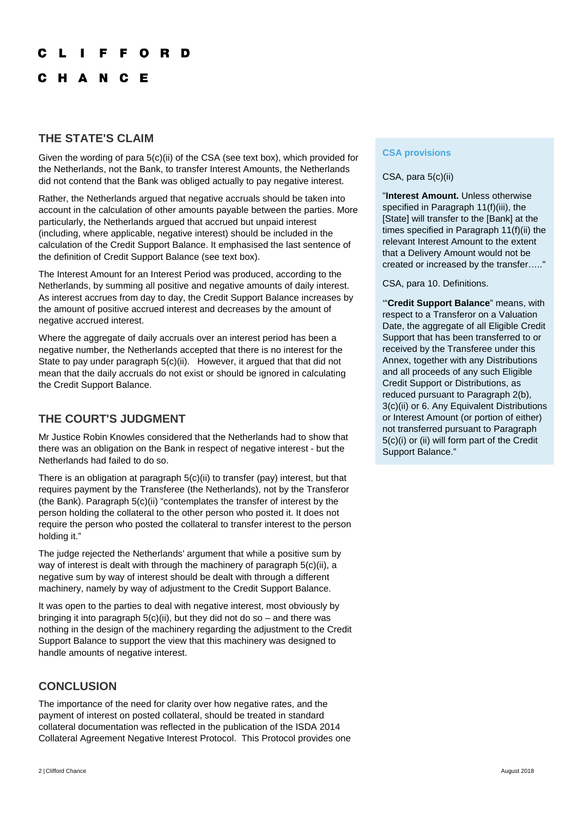#### O R D

C H A N C E

#### **THE STATE'S CLAIM**

Given the wording of para  $5(c)$ (ii) of the CSA (see text box), which provided for the Netherlands, not the Bank, to transfer Interest Amounts, the Netherlands did not contend that the Bank was obliged actually to pay negative interest.

Rather, the Netherlands argued that negative accruals should be taken into account in the calculation of other amounts payable between the parties. More particularly, the Netherlands argued that accrued but unpaid interest (including, where applicable, negative interest) should be included in the calculation of the Credit Support Balance. It emphasised the last sentence of the definition of Credit Support Balance (see text box).

The Interest Amount for an Interest Period was produced, according to the Netherlands, by summing all positive and negative amounts of daily interest. As interest accrues from day to day, the Credit Support Balance increases by the amount of positive accrued interest and decreases by the amount of negative accrued interest.

Where the aggregate of daily accruals over an interest period has been a negative number, the Netherlands accepted that there is no interest for the State to pay under paragraph 5(c)(ii). However, it argued that that did not mean that the daily accruals do not exist or should be ignored in calculating the Credit Support Balance.

## **THE COURT'S JUDGMENT**

Mr Justice Robin Knowles considered that the Netherlands had to show that there was an obligation on the Bank in respect of negative interest - but the Netherlands had failed to do so.

There is an obligation at paragraph 5(c)(ii) to transfer (pay) interest, but that requires payment by the Transferee (the Netherlands), not by the Transferor (the Bank). Paragraph 5(c)(ii) "contemplates the transfer of interest by the person holding the collateral to the other person who posted it. It does not require the person who posted the collateral to transfer interest to the person holding it."

The judge rejected the Netherlands' argument that while a positive sum by way of interest is dealt with through the machinery of paragraph 5(c)(ii), a negative sum by way of interest should be dealt with through a different machinery, namely by way of adjustment to the Credit Support Balance.

It was open to the parties to deal with negative interest, most obviously by bringing it into paragraph  $5(c)(ii)$ , but they did not do so – and there was nothing in the design of the machinery regarding the adjustment to the Credit Support Balance to support the view that this machinery was designed to handle amounts of negative interest.

### **CONCLUSION**

The importance of the need for clarity over how negative rates, and the payment of interest on posted collateral, should be treated in standard collateral documentation was reflected in the publication of the ISDA 2014 Collateral Agreement Negative Interest Protocol. This Protocol provides one

**CSA provisions** 

#### CSA, para 5(c)(ii)

"**Interest Amount.** Unless otherwise specified in Paragraph 11(f)(iii), the [State] will transfer to the [Bank] at the times specified in Paragraph 11(f)(ii) the relevant Interest Amount to the extent that a Delivery Amount would not be created or increased by the transfer….."

CSA, para 10. Definitions.

'"**Credit Support Balance**" means, with respect to a Transferor on a Valuation Date, the aggregate of all Eligible Credit Support that has been transferred to or received by the Transferee under this Annex, together with any Distributions and all proceeds of any such Eligible Credit Support or Distributions, as reduced pursuant to Paragraph 2(b), 3(c)(ii) or 6. Any Equivalent Distributions or Interest Amount (or portion of either) not transferred pursuant to Paragraph 5(c)(i) or (ii) will form part of the Credit Support Balance."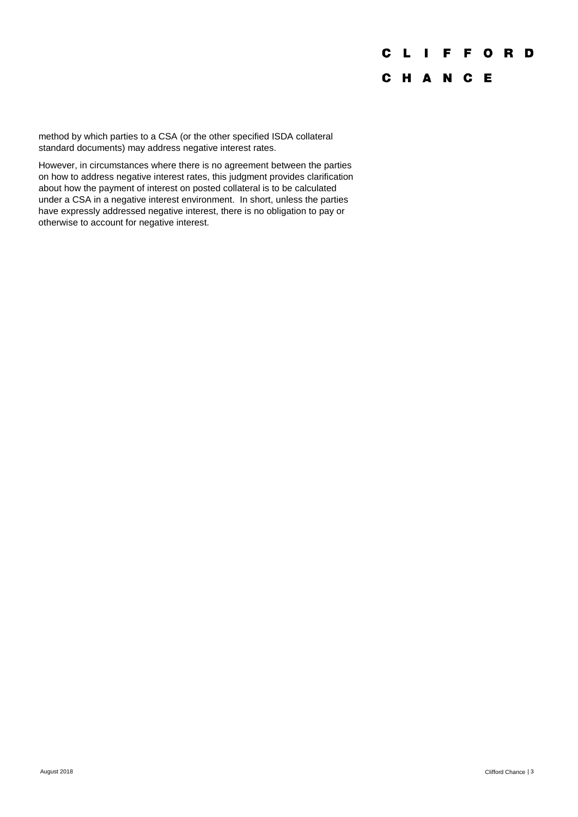# **CLIFFORD** C H A N C E

method by which parties to a CSA (or the other specified ISDA collateral standard documents) may address negative interest rates.

However, in circumstances where there is no agreement between the parties on how to address negative interest rates, this judgment provides clarification about how the payment of interest on posted collateral is to be calculated under a CSA in a negative interest environment. In short, unless the parties have expressly addressed negative interest, there is no obligation to pay or otherwise to account for negative interest.